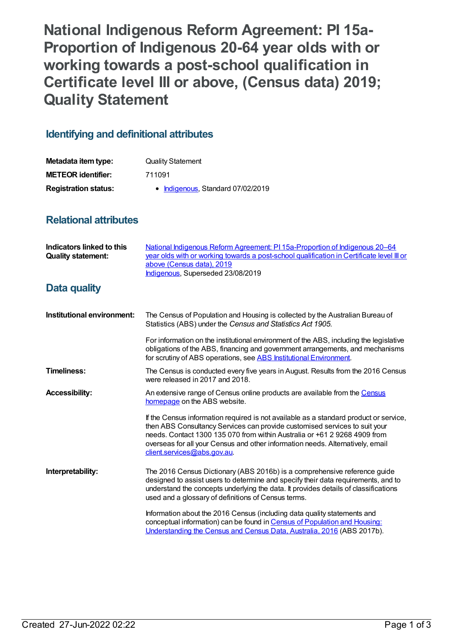**National Indigenous Reform Agreement: PI 15a-Proportion of Indigenous 20-64 year olds with or working towards a post-school qualification in Certificate level III or above, (Census data) 2019; Quality Statement**

## **Identifying and definitional attributes**

| Metadata item type:         | <b>Quality Statement</b>          |
|-----------------------------|-----------------------------------|
| <b>METEOR identifier:</b>   | 711091                            |
| <b>Registration status:</b> | • Indigenous, Standard 07/02/2019 |

## **Relational attributes**

| Indicators linked to this<br><b>Quality statement:</b> | National Indigenous Reform Agreement: PI 15a-Proportion of Indigenous 20–64<br>year olds with or working towards a post-school qualification in Certificate level III or<br>above (Census data), 2019<br>Indigenous, Superseded 23/08/2019                                                                                                                        |
|--------------------------------------------------------|-------------------------------------------------------------------------------------------------------------------------------------------------------------------------------------------------------------------------------------------------------------------------------------------------------------------------------------------------------------------|
| <b>Data quality</b>                                    |                                                                                                                                                                                                                                                                                                                                                                   |
| Institutional environment:                             | The Census of Population and Housing is collected by the Australian Bureau of<br>Statistics (ABS) under the Census and Statistics Act 1905.                                                                                                                                                                                                                       |
|                                                        | For information on the institutional environment of the ABS, including the legislative<br>obligations of the ABS, financing and government arrangements, and mechanisms<br>for scrutiny of ABS operations, see ABS Institutional Environment.                                                                                                                     |
| <b>Timeliness:</b>                                     | The Census is conducted every five years in August. Results from the 2016 Census<br>were released in 2017 and 2018.                                                                                                                                                                                                                                               |
| <b>Accessibility:</b>                                  | An extensive range of Census online products are available from the Census<br>homepage on the ABS website.                                                                                                                                                                                                                                                        |
|                                                        | If the Census information required is not available as a standard product or service,<br>then ABS Consultancy Services can provide customised services to suit your<br>needs, Contact 1300 135 070 from within Australia or +61 2 9268 4909 from<br>overseas for all your Census and other information needs. Alternatively, email<br>client.services@abs.gov.au. |
| Interpretability:                                      | The 2016 Census Dictionary (ABS 2016b) is a comprehensive reference guide<br>designed to assist users to determine and specify their data requirements, and to<br>understand the concepts underlying the data. It provides details of classifications<br>used and a glossary of definitions of Census terms.                                                      |
|                                                        | Information about the 2016 Census (including data quality statements and<br>conceptual information) can be found in Census of Population and Housing:<br>Understanding the Census and Census Data, Australia, 2016 (ABS 2017b).                                                                                                                                   |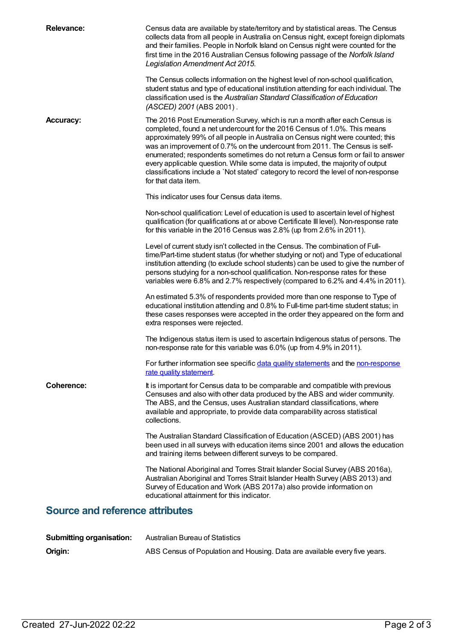| <b>Relevance:</b>                      | Census data are available by state/territory and by statistical areas. The Census<br>collects data from all people in Australia on Census night, except foreign diplomats<br>and their families. People in Norfolk Island on Census night were counted for the<br>first time in the 2016 Australian Census following passage of the Norfolk Island<br>Legislation Amendment Act 2015.<br>The Census collects information on the highest level of non-school qualification,<br>student status and type of educational institution attending for each individual. The<br>classification used is the Australian Standard Classification of Education<br>(ASCED) 2001 (ABS 2001). |  |
|----------------------------------------|-------------------------------------------------------------------------------------------------------------------------------------------------------------------------------------------------------------------------------------------------------------------------------------------------------------------------------------------------------------------------------------------------------------------------------------------------------------------------------------------------------------------------------------------------------------------------------------------------------------------------------------------------------------------------------|--|
| <b>Accuracy:</b>                       | The 2016 Post Enumeration Survey, which is run a month after each Census is<br>completed, found a net undercount for the 2016 Census of 1.0%. This means<br>approximately 99% of all people in Australia on Census night were counted; this<br>was an improvement of 0.7% on the undercount from 2011. The Census is self-<br>enumerated; respondents sometimes do not return a Census form or fail to answer<br>every applicable question. While some data is imputed, the majority of output<br>classifications include a `Not stated' category to record the level of non-response<br>for that data item.                                                                  |  |
|                                        | This indicator uses four Census data items.                                                                                                                                                                                                                                                                                                                                                                                                                                                                                                                                                                                                                                   |  |
|                                        | Non-school qualification: Level of education is used to ascertain level of highest<br>qualification (for qualifications at or above Certificate III level). Non-response rate<br>for this variable in the 2016 Census was 2.8% (up from 2.6% in 2011).                                                                                                                                                                                                                                                                                                                                                                                                                        |  |
|                                        | Level of current study isn't collected in the Census. The combination of Full-<br>time/Part-time student status (for whether studying or not) and Type of educational<br>institution attending (to exclude school students) can be used to give the number of<br>persons studying for a non-school qualification. Non-response rates for these<br>variables were 6.8% and 2.7% respectively (compared to 6.2% and 4.4% in 2011).                                                                                                                                                                                                                                              |  |
|                                        | An estimated 5.3% of respondents provided more than one response to Type of<br>educational institution attending and 0.8% to Full-time part-time student status; in<br>these cases responses were accepted in the order they appeared on the form and<br>extra responses were rejected.                                                                                                                                                                                                                                                                                                                                                                                       |  |
|                                        | The Indigenous status item is used to ascertain Indigenous status of persons. The<br>non-response rate for this variable was 6.0% (up from 4.9% in 2011).                                                                                                                                                                                                                                                                                                                                                                                                                                                                                                                     |  |
|                                        | For further information see specific data quality statements and the non-response<br>rate quality statement.                                                                                                                                                                                                                                                                                                                                                                                                                                                                                                                                                                  |  |
| <b>Coherence:</b>                      | It is important for Census data to be comparable and compatible with previous<br>Censuses and also with other data produced by the ABS and wider community.<br>The ABS, and the Census, uses Australian standard classifications, where<br>available and appropriate, to provide data comparability across statistical<br>collections.                                                                                                                                                                                                                                                                                                                                        |  |
|                                        | The Australian Standard Classification of Education (ASCED) (ABS 2001) has<br>been used in all surveys with education items since 2001 and allows the education<br>and training items between different surveys to be compared.                                                                                                                                                                                                                                                                                                                                                                                                                                               |  |
|                                        | The National Aboriginal and Torres Strait Islander Social Survey (ABS 2016a),<br>Australian Aboriginal and Torres Strait Islander Health Survey (ABS 2013) and<br>Survey of Education and Work (ABS 2017a) also provide information on<br>educational attainment for this indicator.                                                                                                                                                                                                                                                                                                                                                                                          |  |
| <b>Source and reference attributes</b> |                                                                                                                                                                                                                                                                                                                                                                                                                                                                                                                                                                                                                                                                               |  |
| <b>Submitting organisation:</b>        | <b>Australian Bureau of Statistics</b>                                                                                                                                                                                                                                                                                                                                                                                                                                                                                                                                                                                                                                        |  |